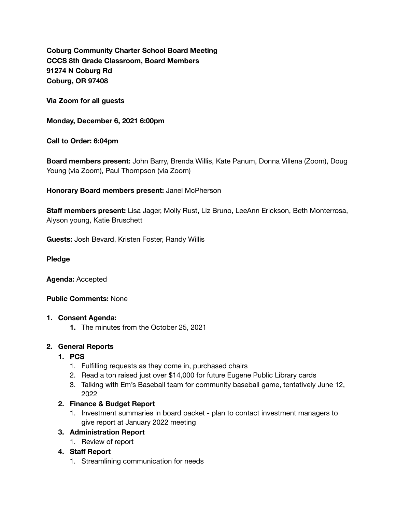**Coburg Community Charter School Board Meeting CCCS 8th Grade Classroom, Board Members 91274 N Coburg Rd Coburg, OR 97408** 

**Via Zoom for all guests** 

**Monday, December 6, 2021 6:00pm** 

**Call to Order: 6:04pm** 

**Board members present:** John Barry, Brenda Willis, Kate Panum, Donna Villena (Zoom), Doug Young (via Zoom), Paul Thompson (via Zoom)

**Honorary Board members present:** Janel McPherson

**Staff members present:** Lisa Jager, Molly Rust, Liz Bruno, LeeAnn Erickson, Beth Monterrosa, Alyson young, Katie Bruschett

**Guests:** Josh Bevard, Kristen Foster, Randy Willis

#### **Pledge**

**Agenda:** Accepted

### **Public Comments:** None

#### **1. Consent Agenda:**

**1.** The minutes from the October 25, 2021

### **2. General Reports**

- **1. PCS** 
	- 1. Fulfilling requests as they come in, purchased chairs
	- 2. Read a ton raised just over \$14,000 for future Eugene Public Library cards
	- 3. Talking with Em's Baseball team for community baseball game, tentatively June 12, 2022

### **2. Finance & Budget Report**

1. Investment summaries in board packet - plan to contact investment managers to give report at January 2022 meeting

### **3. Administration Report**

1. Review of report

### **4. Staff Report**

1. Streamlining communication for needs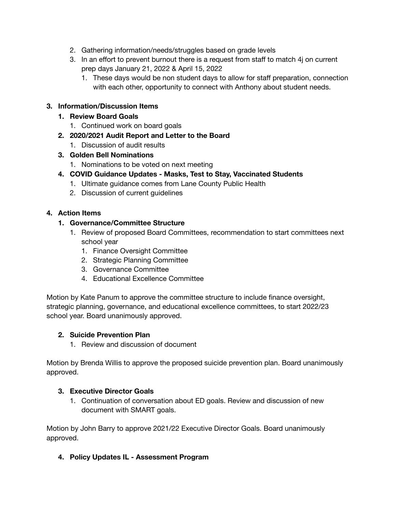- 2. Gathering information/needs/struggles based on grade levels
- 3. In an effort to prevent burnout there is a request from staff to match  $4j$  on current prep days January 21, 2022 & April 15, 2022
	- 1. These days would be non student days to allow for staff preparation, connection with each other, opportunity to connect with Anthony about student needs.

## **3. Information/Discussion Items**

## **1. Review Board Goals**

- 1. Continued work on board goals
- **2. 2020/2021 Audit Report and Letter to the Board** 
	- 1. Discussion of audit results
- **3. Golden Bell Nominations** 
	- 1. Nominations to be voted on next meeting
- **4. COVID Guidance Updates Masks, Test to Stay, Vaccinated Students** 
	- 1. Ultimate guidance comes from Lane County Public Health
	- 2. Discussion of current guidelines

### **4. Action Items**

### **1. Governance/Committee Structure**

- 1. Review of proposed Board Committees, recommendation to start committees next school year
	- 1. Finance Oversight Committee
	- 2. Strategic Planning Committee
	- 3. Governance Committee
	- 4. Educational Excellence Committee

Motion by Kate Panum to approve the committee structure to include finance oversight, strategic planning, governance, and educational excellence committees, to start 2022/23 school year. Board unanimously approved.

### **2. Suicide Prevention Plan**

1. Review and discussion of document

Motion by Brenda Willis to approve the proposed suicide prevention plan. Board unanimously approved.

### **3. Executive Director Goals**

1. Continuation of conversation about ED goals. Review and discussion of new document with SMART goals.

Motion by John Barry to approve 2021/22 Executive Director Goals. Board unanimously approved.

**4. Policy Updates IL - Assessment Program**